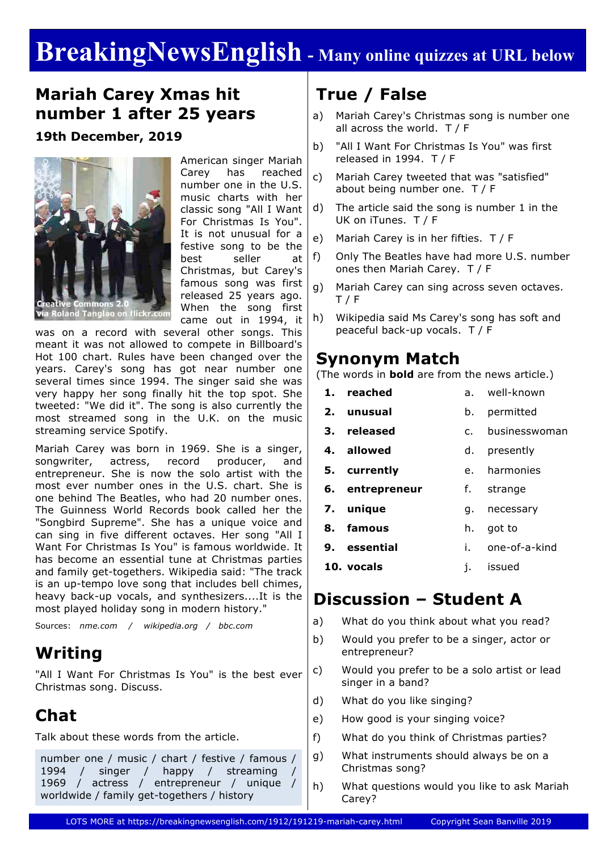# **BreakingNewsEnglish - Many online quizzes at URL below**

#### **Mariah Carey Xmas hit number 1 after 25 years**

**19th December, 2019**



American singer Mariah Carey has reached number one in the U.S. music charts with her classic song "All I Want For Christmas Is You". It is not unusual for a festive song to be the best seller at Christmas, but Carey's famous song was first released 25 years ago. When the song first came out in 1994, it

Roland Tanglao on flickr.com

was on a record with several other songs. This meant it was not allowed to compete in Billboard's Hot 100 chart. Rules have been changed over the years. Carey's song has got near number one several times since 1994. The singer said she was very happy her song finally hit the top spot. She tweeted: "We did it". The song is also currently the most streamed song in the U.K. on the music streaming service Spotify.

Mariah Carey was born in 1969. She is a singer, songwriter, actress, record producer, and entrepreneur. She is now the solo artist with the most ever number ones in the U.S. chart. She is one behind The Beatles, who had 20 number ones. The Guinness World Records book called her the "Songbird Supreme". She has a unique voice and can sing in five different octaves. Her song "All I Want For Christmas Is You" is famous worldwide. It has become an essential tune at Christmas parties and family get-togethers. Wikipedia said: "The track is an up-tempo love song that includes bell chimes, heavy back-up vocals, and synthesizers....It is the most played holiday song in modern history."

Sources: *nme.com / wikipedia.org / bbc.com*

#### **Writing**

"All I Want For Christmas Is You" is the best ever Christmas song. Discuss.

# **Chat**

Talk about these words from the article.

```
number one / music / chart / festive / famous / 
1994 / singer / happy / streaming
1969 / actress / entrepreneur / unique / 
worldwide / family get-togethers / history
```
# **True / False**

- a) Mariah Carey's Christmas song is number one all across the world. T / F
- b) "All I Want For Christmas Is You" was first released in 1994. T / F
- c) Mariah Carey tweeted that was "satisfied" about being number one. T / F
- d) The article said the song is number 1 in the UK on iTunes. T / F
- e) Mariah Carey is in her fifties. T / F
- f) Only The Beatles have had more U.S. number ones then Mariah Carey. T / F
- g) Mariah Carey can sing across seven octaves. T / F
- h) Wikipedia said Ms Carey's song has soft and peaceful back-up vocals. T / F

#### **Synonym Match**

(The words in **bold** are from the news article.)

- **1. reached** a. well-known
- **2. unusual** b. permitted
- **3. released** c. businesswoman
- **4. allowed** d. presently
- **5. currently** e. harmonies
- **6. entrepreneur** f. strange
- **7. unique** g. necessary
- **8. famous** h. got to
- **9. essential** i. one-of-a-kind
- **10. vocals** j. issued

#### **Discussion – Student A**

- a) What do you think about what you read?
- b) Would you prefer to be a singer, actor or entrepreneur?
- c) Would you prefer to be a solo artist or lead singer in a band?
- d) What do you like singing?
- e) How good is your singing voice?
- f) What do you think of Christmas parties?
- g) What instruments should always be on a Christmas song?
- h) What questions would you like to ask Mariah Carey?